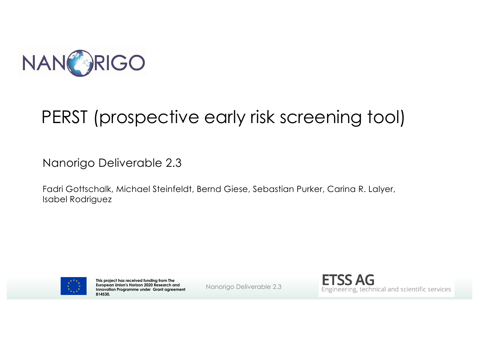

## PERST (prospective early risk screening tool)

Nanorigo Deliverable 2.3

Fadri Gottschalk, Michael Steinfeldt, Bernd Giese, Sebastian Purker, Carina R. Lalyer, Isabel Rodriguez



**This project has received funding from The European Union's Horizon 2020 Research and Innovation Programme under Grant agreement 814530.**

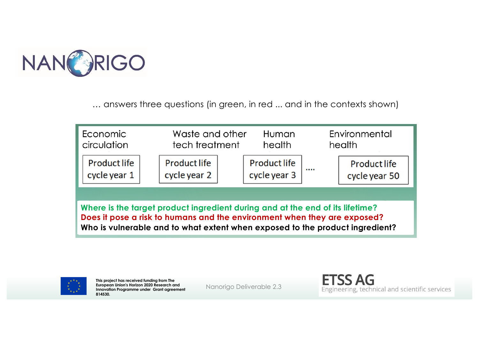

… answers three questions (in green, in red ... and in the contexts shown)



**Where is the target product ingredient during and at the end of its lifetime? Does it pose a risk to humans and the environment when they are exposed? Who is vulnerable and to what extent when exposed to the product ingredient?**



**This project has received funding from The European Union's Horizon 2020 Research and Innovation Programme under Grant agreement 814530.**

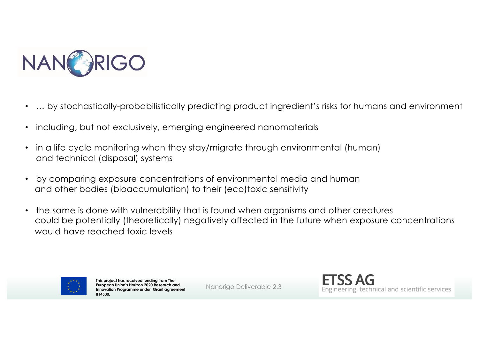

- … by stochastically-probabilistically predicting product ingredient's risks for humans and environment
- including, but not exclusively, emerging engineered nanomaterials
- in a life cycle monitoring when they stay/migrate through environmental (human) and technical (disposal) systems
- by comparing exposure concentrations of environmental media and human and other bodies (bioaccumulation) to their (eco)toxic sensitivity
- the same is done with vulnerability that is found when organisms and other creatures could be potentially (theoretically) negatively affected in the future when exposure concentrations would have reached toxic levels



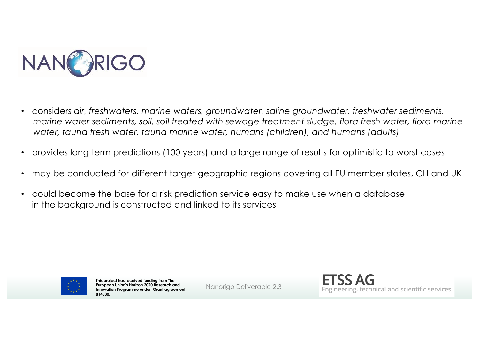

- considers *air, freshwaters, marine waters, groundwater, saline groundwater, freshwater sediments, marine water sediments, soil, soil treated with sewage treatment sludge, flora fresh water, flora marine water, fauna fresh water, fauna marine water, humans (children), and humans (adults)*
- provides long term predictions (100 years) and a large range of results for optimistic to worst cases
- may be conducted for different target geographic regions covering all EU member states, CH and UK
- could become the base for a risk prediction service easy to make use when a database in the background is constructed and linked to its services



**This project has received funding from The European Union's Horizon 2020 Research and Innovation Programme under Grant agreement 814530.**

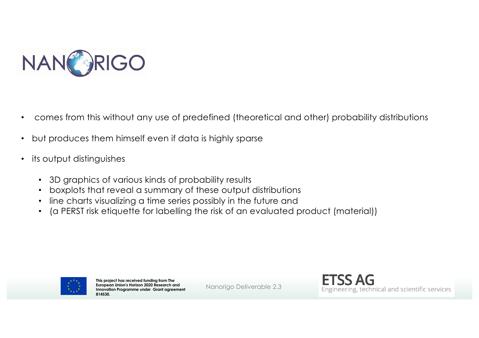

- comes from this without any use of predefined (theoretical and other) probability distributions
- but produces them himself even if data is highly sparse
- its output distinguishes
	- 3D graphics of various kinds of probability results
	- boxplots that reveal a summary of these output distributions
	- line charts visualizing a time series possibly in the future and
	- (a PERST risk etiquette for labelling the risk of an evaluated product (material))



**This project has received funding from The European Union's Horizon 2020 Research and Innovation Programme under Grant agreement 814530.**

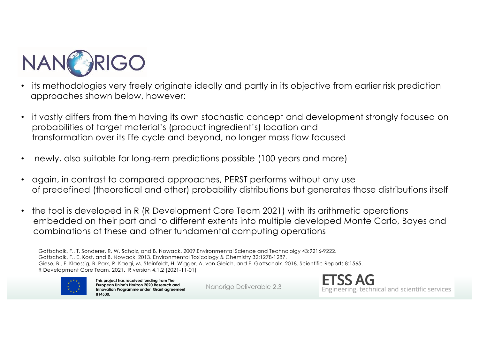

- its methodologies very freely originate ideally and partly in its objective from earlier risk prediction approaches shown below, however:
- it vastly differs from them having its own stochastic concept and development strongly focused on probabilities of target material's (product ingredient's) location and transformation over its life cycle and beyond, no longer mass flow focused
- newly, also suitable for long-rem predictions possible (100 years and more)
- again, in contrast to compared approaches, PERST performs without any use of predefined (theoretical and other) probability distributions but generates those distributions itself
- the tool is developed in R (R Development Core Team 2021) with its arithmetic operations embedded on their part and to different extents into multiple developed Monte Carlo, Bayes and combinations of these and other fundamental computing operations

Gottschalk, F., T. Sonderer, R. W. Scholz, and B. Nowack. 2009.Environmental Science and Technololgy 43:9216-9222. Gottschalk, F., E. Kost, and B. Nowack. 2013. Environmental Toxicology & Chemistry 32:1278-1287. Giese, B., F. Klaessig, B. Park, R. Kaegi, M. Steinfeldt, H. Wigger, A. von Gleich, and F. Gottschalk. 2018. Scientific Reports 8:1565. R Development Core Team. 2021. R version 4.1.2 (2021-11-01)



**This project has received funding from The European Union's Horizon 2020 Research and Innovation Programme under Grant agreement 814530.**

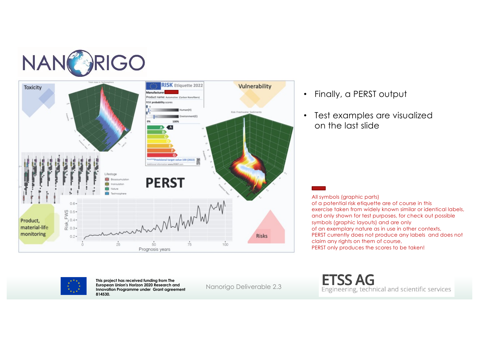



- Finally, a PERST output
- Test examples are visualized on the last slide

All symbols (graphic parts) of a potential risk etiquette are of course in this exercise taken from widely known similar or identical labels, and only shown for test purposes, for check out possible symbols (graphic layouts) and are only of an exemplary nature as in use in other contexts, PERST currently does not produce any labels and does not claim any rights on them of course, PERST only produces the scores to be taken!



**This project has received funding from The European Union's Horizon 2020 Research and Innovation Programme under Grant agreement 814530.**

Nanorigo Deliverable 2.3

**ETSS AG** Engineering, technical and scientific services